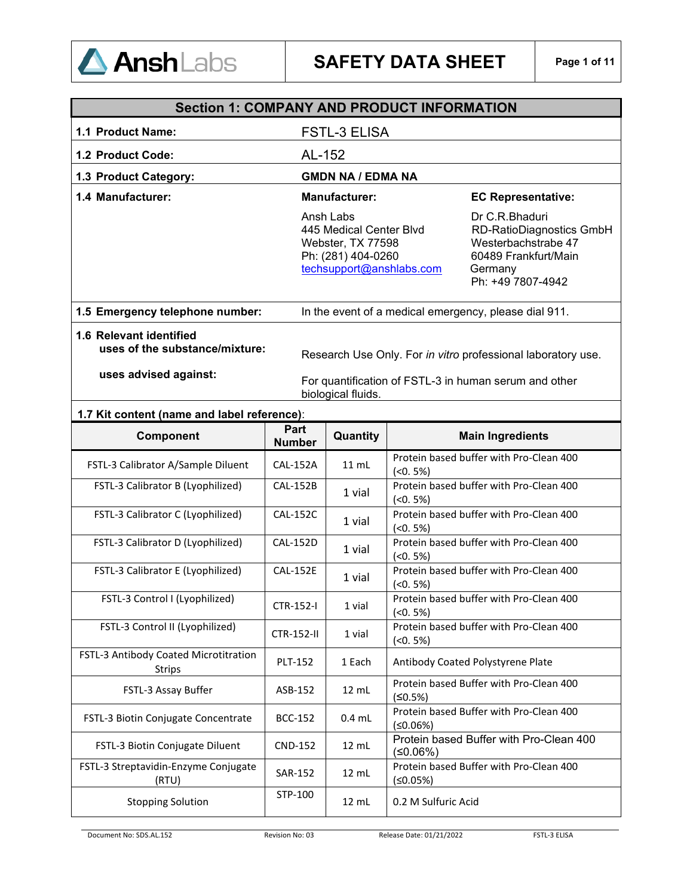

|                                                                                                                                                                                                                                          | <b>Section 1: COMPANY AND PRODUCT INFORMATION</b> |                                                                                                             |                                                                                                                                  |  |
|------------------------------------------------------------------------------------------------------------------------------------------------------------------------------------------------------------------------------------------|---------------------------------------------------|-------------------------------------------------------------------------------------------------------------|----------------------------------------------------------------------------------------------------------------------------------|--|
| 1.1 Product Name:                                                                                                                                                                                                                        |                                                   | <b>FSTL-3 ELISA</b>                                                                                         |                                                                                                                                  |  |
| 1.2 Product Code:                                                                                                                                                                                                                        | AL-152                                            |                                                                                                             |                                                                                                                                  |  |
| 1.3 Product Category:                                                                                                                                                                                                                    |                                                   | <b>GMDN NA / EDMA NA</b>                                                                                    |                                                                                                                                  |  |
| 1.4 Manufacturer:                                                                                                                                                                                                                        |                                                   | <b>Manufacturer:</b>                                                                                        | <b>EC Representative:</b>                                                                                                        |  |
|                                                                                                                                                                                                                                          |                                                   | Ansh Labs<br>445 Medical Center Blvd<br>Webster, TX 77598<br>Ph: (281) 404-0260<br>techsupport@anshlabs.com | Dr C.R.Bhaduri<br><b>RD-RatioDiagnostics GmbH</b><br>Westerbachstrabe 47<br>60489 Frankfurt/Main<br>Germany<br>Ph: +49 7807-4942 |  |
| 1.5 Emergency telephone number:                                                                                                                                                                                                          |                                                   |                                                                                                             | In the event of a medical emergency, please dial 911.                                                                            |  |
| <b>1.6 Relevant identified</b><br>uses of the substance/mixture:<br>Research Use Only. For in vitro professional laboratory use.<br>uses advised against:<br>For quantification of FSTL-3 in human serum and other<br>biological fluids. |                                                   |                                                                                                             |                                                                                                                                  |  |
| 1.7 Kit content (name and label reference):                                                                                                                                                                                              |                                                   |                                                                                                             |                                                                                                                                  |  |
| Component                                                                                                                                                                                                                                | Part<br><b>Number</b>                             | Quantity                                                                                                    | <b>Main Ingredients</b>                                                                                                          |  |
| FSTL-3 Calibrator A/Sample Diluent                                                                                                                                                                                                       | <b>CAL-152A</b>                                   | $11$ mL                                                                                                     | Protein based buffer with Pro-Clean 400<br>$(50.5\%)$                                                                            |  |
| FSTL-3 Calibrator B (Lyophilized)                                                                                                                                                                                                        | <b>CAL-152B</b>                                   | 1 vial                                                                                                      | Protein based buffer with Pro-Clean 400<br>$(50.5\%)$                                                                            |  |
| FSTL-3 Calibrator C (Lyophilized)                                                                                                                                                                                                        | <b>CAL-152C</b>                                   | 1 vial                                                                                                      | Protein based buffer with Pro-Clean 400<br>$(50.5\%)$                                                                            |  |
| FSTL-3 Calibrator D (Lyophilized)                                                                                                                                                                                                        | <b>CAL-152D</b>                                   | 1 vial                                                                                                      | Protein based buffer with Pro-Clean 400<br>$(50.5\%)$                                                                            |  |
| FSTL-3 Calibrator E (Lyophilized)                                                                                                                                                                                                        | <b>CAL-152E</b>                                   | 1 vial                                                                                                      | Protein based buffer with Pro-Clean 400<br>$(50.5\%)$                                                                            |  |
| FSTL-3 Control I (Lyophilized)                                                                                                                                                                                                           | CTR-152-I                                         | 1 vial                                                                                                      | Protein based buffer with Pro-Clean 400<br>$(50.5\%)$                                                                            |  |
| FSTL-3 Control II (Lyophilized)                                                                                                                                                                                                          | CTR-152-II                                        | 1 vial                                                                                                      | Protein based buffer with Pro-Clean 400<br>$(50.5\%)$                                                                            |  |
| FSTL-3 Antibody Coated Microtitration<br><b>Strips</b>                                                                                                                                                                                   | <b>PLT-152</b>                                    | 1 Each                                                                                                      | Antibody Coated Polystyrene Plate                                                                                                |  |
| FSTL-3 Assay Buffer                                                                                                                                                                                                                      | ASB-152                                           | 12 mL                                                                                                       | Protein based Buffer with Pro-Clean 400<br>(≤0.5%)                                                                               |  |
| FSTL-3 Biotin Conjugate Concentrate                                                                                                                                                                                                      | <b>BCC-152</b>                                    | $0.4$ mL                                                                                                    | Protein based Buffer with Pro-Clean 400<br>(50.06%)                                                                              |  |
| FSTL-3 Biotin Conjugate Diluent                                                                                                                                                                                                          | <b>CND-152</b>                                    | 12 mL                                                                                                       | Protein based Buffer with Pro-Clean 400<br>(≤0.06%)                                                                              |  |
| FSTL-3 Streptavidin-Enzyme Conjugate<br>(RTU)                                                                                                                                                                                            | SAR-152                                           | 12 mL                                                                                                       | Protein based Buffer with Pro-Clean 400<br>(50.05%)                                                                              |  |
| <b>Stopping Solution</b>                                                                                                                                                                                                                 | STP-100                                           | 12 mL                                                                                                       | 0.2 M Sulfuric Acid                                                                                                              |  |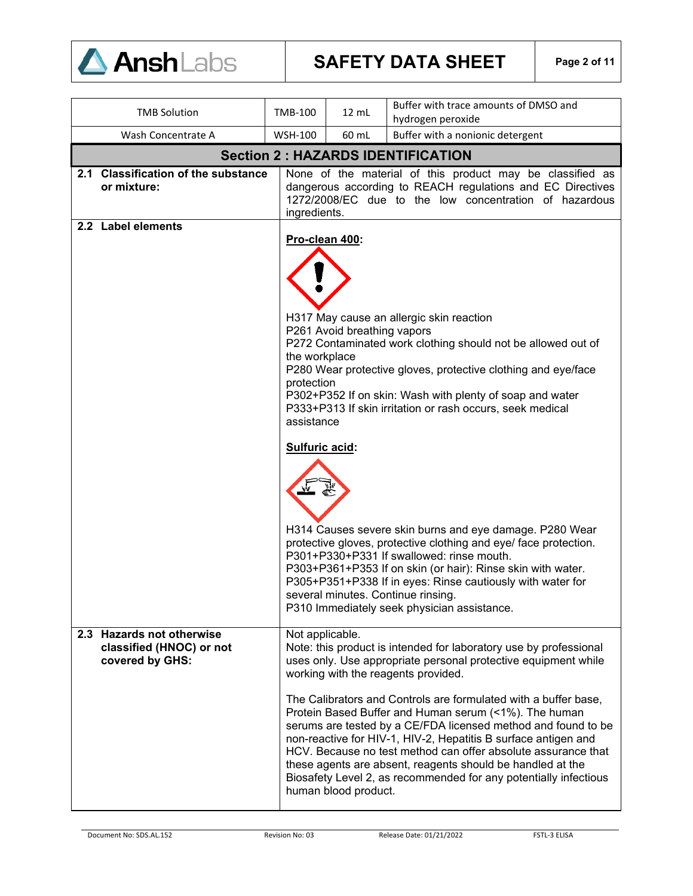

| <b>TMB Solution</b>                                                      | TMB-100                                                                                                                                                                                                                                                                                                                                                                                                      | 12 mL                                                                                                                                                                                                              | Buffer with trace amounts of DMSO and<br>hydrogen peroxide                                                                                                                                                                                                                                                                                                                                                                                                                                                                                                                                                                                   |  |
|--------------------------------------------------------------------------|--------------------------------------------------------------------------------------------------------------------------------------------------------------------------------------------------------------------------------------------------------------------------------------------------------------------------------------------------------------------------------------------------------------|--------------------------------------------------------------------------------------------------------------------------------------------------------------------------------------------------------------------|----------------------------------------------------------------------------------------------------------------------------------------------------------------------------------------------------------------------------------------------------------------------------------------------------------------------------------------------------------------------------------------------------------------------------------------------------------------------------------------------------------------------------------------------------------------------------------------------------------------------------------------------|--|
| Wash Concentrate A                                                       | <b>WSH-100</b>                                                                                                                                                                                                                                                                                                                                                                                               | 60 mL                                                                                                                                                                                                              | Buffer with a nonionic detergent                                                                                                                                                                                                                                                                                                                                                                                                                                                                                                                                                                                                             |  |
|                                                                          |                                                                                                                                                                                                                                                                                                                                                                                                              |                                                                                                                                                                                                                    | <b>Section 2: HAZARDS IDENTIFICATION</b>                                                                                                                                                                                                                                                                                                                                                                                                                                                                                                                                                                                                     |  |
| 2.1 Classification of the substance<br>or mixture:                       | ingredients.                                                                                                                                                                                                                                                                                                                                                                                                 | None of the material of this product may be classified as<br>dangerous according to REACH regulations and EC Directives<br>1272/2008/EC due to the low concentration of hazardous                                  |                                                                                                                                                                                                                                                                                                                                                                                                                                                                                                                                                                                                                                              |  |
| 2.2 Label elements                                                       |                                                                                                                                                                                                                                                                                                                                                                                                              |                                                                                                                                                                                                                    |                                                                                                                                                                                                                                                                                                                                                                                                                                                                                                                                                                                                                                              |  |
|                                                                          |                                                                                                                                                                                                                                                                                                                                                                                                              | Pro-clean 400:<br>H317 May cause an allergic skin reaction<br>P261 Avoid breathing vapors<br>P272 Contaminated work clothing should not be allowed out of<br>the workplace                                         |                                                                                                                                                                                                                                                                                                                                                                                                                                                                                                                                                                                                                                              |  |
|                                                                          |                                                                                                                                                                                                                                                                                                                                                                                                              | P280 Wear protective gloves, protective clothing and eye/face<br>protection<br>P302+P352 If on skin: Wash with plenty of soap and water<br>P333+P313 If skin irritation or rash occurs, seek medical<br>assistance |                                                                                                                                                                                                                                                                                                                                                                                                                                                                                                                                                                                                                                              |  |
|                                                                          | Sulfuric acid:<br>H314 Causes severe skin burns and eye damage. P280 Wear<br>protective gloves, protective clothing and eye/ face protection.<br>P301+P330+P331 If swallowed: rinse mouth.<br>P303+P361+P353 If on skin (or hair): Rinse skin with water.<br>P305+P351+P338 If in eyes: Rinse cautiously with water for<br>several minutes. Continue rinsing.<br>P310 Immediately seek physician assistance. |                                                                                                                                                                                                                    |                                                                                                                                                                                                                                                                                                                                                                                                                                                                                                                                                                                                                                              |  |
| 2.3 Hazards not otherwise<br>classified (HNOC) or not<br>covered by GHS: | Not applicable.                                                                                                                                                                                                                                                                                                                                                                                              | human blood product.                                                                                                                                                                                               | Note: this product is intended for laboratory use by professional<br>uses only. Use appropriate personal protective equipment while<br>working with the reagents provided.<br>The Calibrators and Controls are formulated with a buffer base,<br>Protein Based Buffer and Human serum (<1%). The human<br>serums are tested by a CE/FDA licensed method and found to be<br>non-reactive for HIV-1, HIV-2, Hepatitis B surface antigen and<br>HCV. Because no test method can offer absolute assurance that<br>these agents are absent, reagents should be handled at the<br>Biosafety Level 2, as recommended for any potentially infectious |  |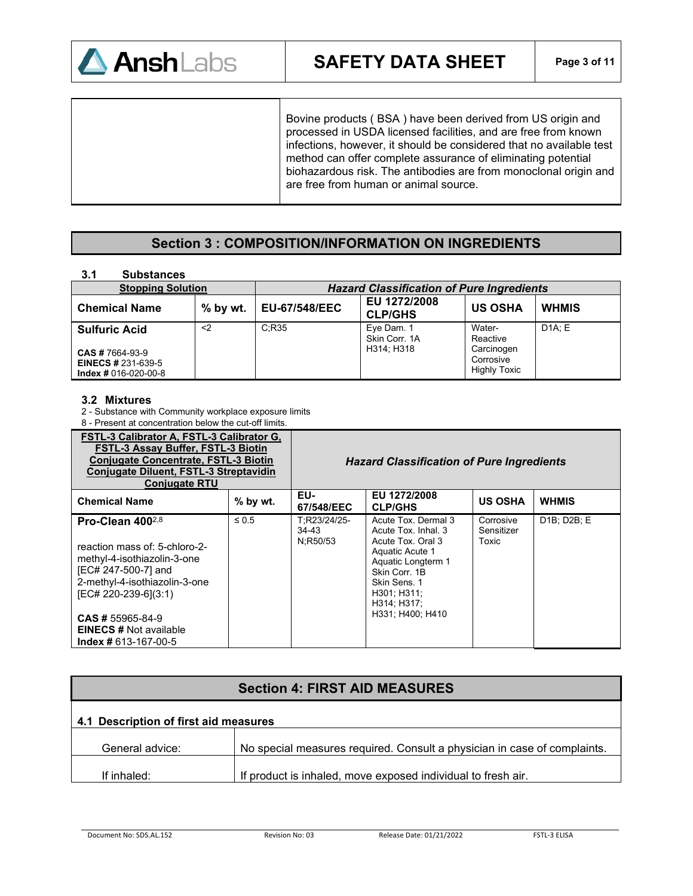

Bovine products ( BSA ) have been derived from US origin and processed in USDA licensed facilities, and are free from known infections, however, it should be considered that no available test method can offer complete assurance of eliminating potential biohazardous risk. The antibodies are from monoclonal origin and are free from human or animal source.

### **Section 3 : COMPOSITION/INFORMATION ON INGREDIENTS**

### **3.1 Substances**

| . .<br>------------                                 |            |                                                  |                                           |                                               |              |
|-----------------------------------------------------|------------|--------------------------------------------------|-------------------------------------------|-----------------------------------------------|--------------|
| <b>Stopping Solution</b>                            |            | <b>Hazard Classification of Pure Ingredients</b> |                                           |                                               |              |
| <b>Chemical Name</b>                                | $%$ by wt. | <b>EU-67/548/EEC</b>                             | EU 1272/2008<br><b>CLP/GHS</b>            | <b>US OSHA</b>                                | <b>WHMIS</b> |
| <b>Sulfuric Acid</b><br><b>CAS # 7664-93-9</b>      | $2$        | C:R35                                            | Eye Dam. 1<br>Skin Corr. 1A<br>H314: H318 | Water-<br>Reactive<br>Carcinogen<br>Corrosive | DA: E        |
| <b>EINECS # 231-639-5</b><br>$Index # 016-020-00-8$ |            |                                                  |                                           | <b>Highly Toxic</b>                           |              |

### **3.2 Mixtures**

2 - Substance with Community workplace exposure limits

8 - Present at concentration below the cut-off limits.

| FSTL-3 Calibrator A, FSTL-3 Calibrator G,<br>FSTL-3 Assay Buffer, FSTL-3 Biotin<br><b>Conjugate Concentrate, FSTL-3 Biotin</b><br>Conjugate Diluent, FSTL-3 Streptavidin<br><b>Conjugate RTU</b> |            |                                   | <b>Hazard Classification of Pure Ingredients</b>                                                                                                                        |                                  |                                       |
|--------------------------------------------------------------------------------------------------------------------------------------------------------------------------------------------------|------------|-----------------------------------|-------------------------------------------------------------------------------------------------------------------------------------------------------------------------|----------------------------------|---------------------------------------|
| <b>Chemical Name</b>                                                                                                                                                                             | % by wt.   | EU-<br>67/548/EEC                 | EU 1272/2008<br><b>CLP/GHS</b>                                                                                                                                          | <b>US OSHA</b>                   | <b>WHMIS</b>                          |
| Pro-Clean $400^{2,8}$<br>reaction mass of: 5-chloro-2-<br>methyl-4-isothiazolin-3-one<br>[EC# 247-500-7] and<br>2-methyl-4-isothiazolin-3-one<br>[EC# 220-239-6](3:1)                            | $\leq 0.5$ | T:R23/24/25-<br>34-43<br>N:R50/53 | Acute Tox, Dermal 3<br>Acute Tox, Inhal, 3<br>Acute Tox, Oral 3<br>Aquatic Acute 1<br>Aquatic Longterm 1<br>Skin Corr. 1B<br>Skin Sens. 1<br>H301; H311;<br>H314; H317; | Corrosive<br>Sensitizer<br>Toxic | D <sub>1</sub> B: D <sub>2B</sub> : E |
| $CAS \# 55965 - 84 - 9$<br><b>EINECS # Not available</b><br>$Index # 613-167-00-5$                                                                                                               |            |                                   | H331: H400: H410                                                                                                                                                        |                                  |                                       |

# **Section 4: FIRST AID MEASURES 4.1 Description of first aid measures**  General advice: <br>No special measures required. Consult a physician in case of complaints. If inhaled: If product is inhaled, move exposed individual to fresh air.

Document No: SDS.AL.152 Revision No: 03 Release Date: 01/21/2022 FSTL-3 ELISA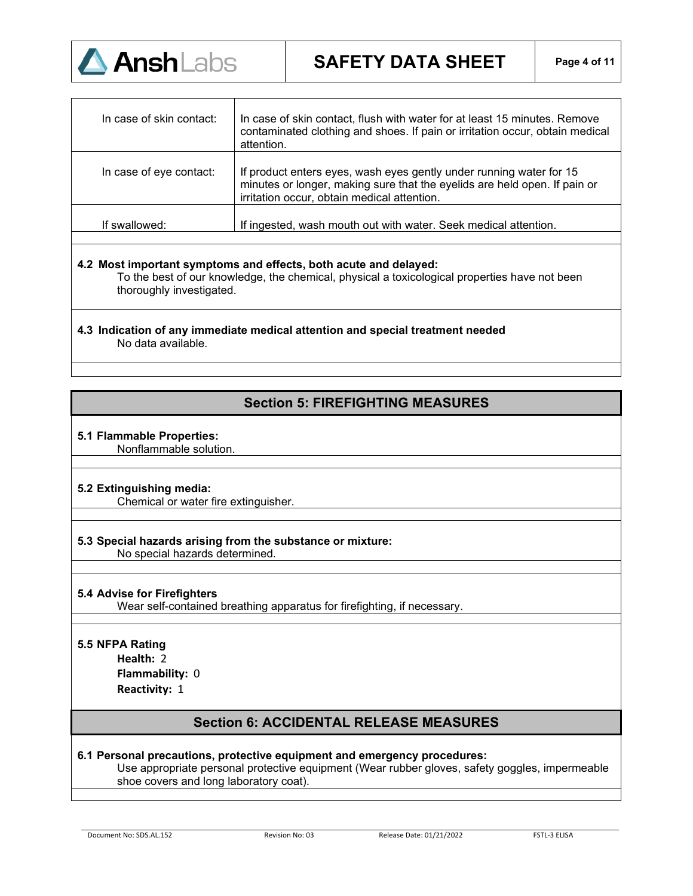

| In case of skin contact: | In case of skin contact, flush with water for at least 15 minutes. Remove<br>contaminated clothing and shoes. If pain or irritation occur, obtain medical<br>attention.                         |
|--------------------------|-------------------------------------------------------------------------------------------------------------------------------------------------------------------------------------------------|
| In case of eye contact:  | If product enters eyes, wash eyes gently under running water for 15<br>minutes or longer, making sure that the eyelids are held open. If pain or<br>irritation occur, obtain medical attention. |
| If swallowed:            | If ingested, wash mouth out with water. Seek medical attention.                                                                                                                                 |

### **4.2 Most important symptoms and effects, both acute and delayed:**

To the best of our knowledge, the chemical, physical a toxicological properties have not been thoroughly investigated.

### **4.3 Indication of any immediate medical attention and special treatment needed**  No data available.

### **Section 5: FIREFIGHTING MEASURES**

### **5.1 Flammable Properties:**

Nonflammable solution.

### **5.2 Extinguishing media:**

Chemical or water fire extinguisher.

#### **5.3 Special hazards arising from the substance or mixture:**  No special hazards determined.

### **5.4 Advise for Firefighters**

Wear self-contained breathing apparatus for firefighting, if necessary.

### **5.5 NFPA Rating**

**Health:** 2 **Flammability:** 0 **Reactivity:** 1

### **Section 6: ACCIDENTAL RELEASE MEASURES**

### **6.1 Personal precautions, protective equipment and emergency procedures:**

Use appropriate personal protective equipment (Wear rubber gloves, safety goggles, impermeable shoe covers and long laboratory coat).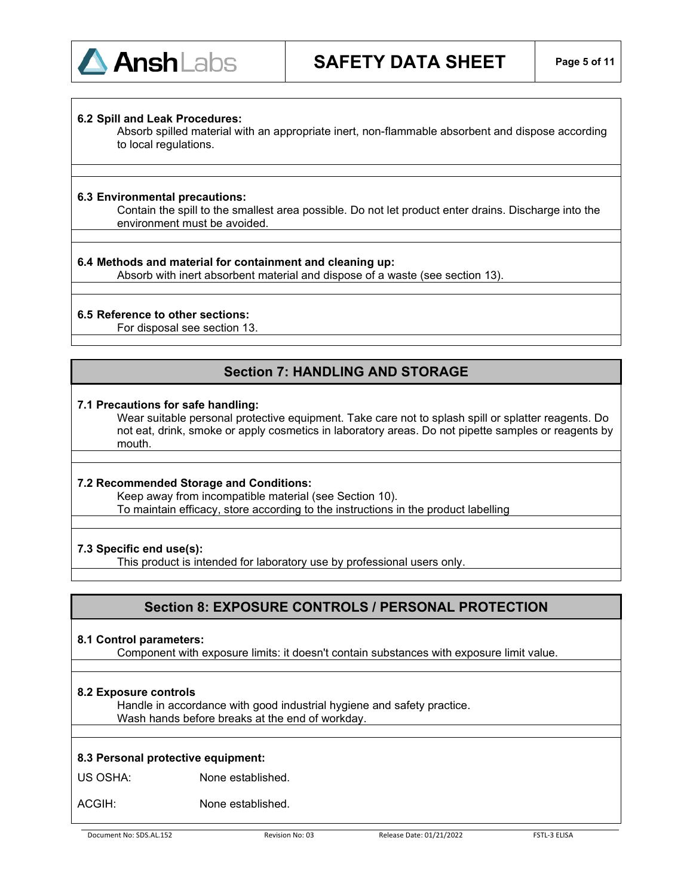

#### **6.2 Spill and Leak Procedures:**

Absorb spilled material with an appropriate inert, non-flammable absorbent and dispose according to local regulations.

#### **6.3 Environmental precautions:**

Contain the spill to the smallest area possible. Do not let product enter drains. Discharge into the environment must be avoided.

#### **6.4 Methods and material for containment and cleaning up:**

Absorb with inert absorbent material and dispose of a waste (see section 13).

#### **6.5 Reference to other sections:**

For disposal see section 13.

### **Section 7: HANDLING AND STORAGE**

#### **7.1 Precautions for safe handling:**

Wear suitable personal protective equipment. Take care not to splash spill or splatter reagents. Do not eat, drink, smoke or apply cosmetics in laboratory areas. Do not pipette samples or reagents by mouth.

### **7.2 Recommended Storage and Conditions:**

Keep away from incompatible material (see Section 10). To maintain efficacy, store according to the instructions in the product labelling

#### **7.3 Specific end use(s):**

This product is intended for laboratory use by professional users only.

### **Section 8: EXPOSURE CONTROLS / PERSONAL PROTECTION**

#### **8.1 Control parameters:**

Component with exposure limits: it doesn't contain substances with exposure limit value.

### **8.2 Exposure controls**

Handle in accordance with good industrial hygiene and safety practice. Wash hands before breaks at the end of workday.

### **8.3 Personal protective equipment:**

US OSHA: None established.

ACGIH: None established.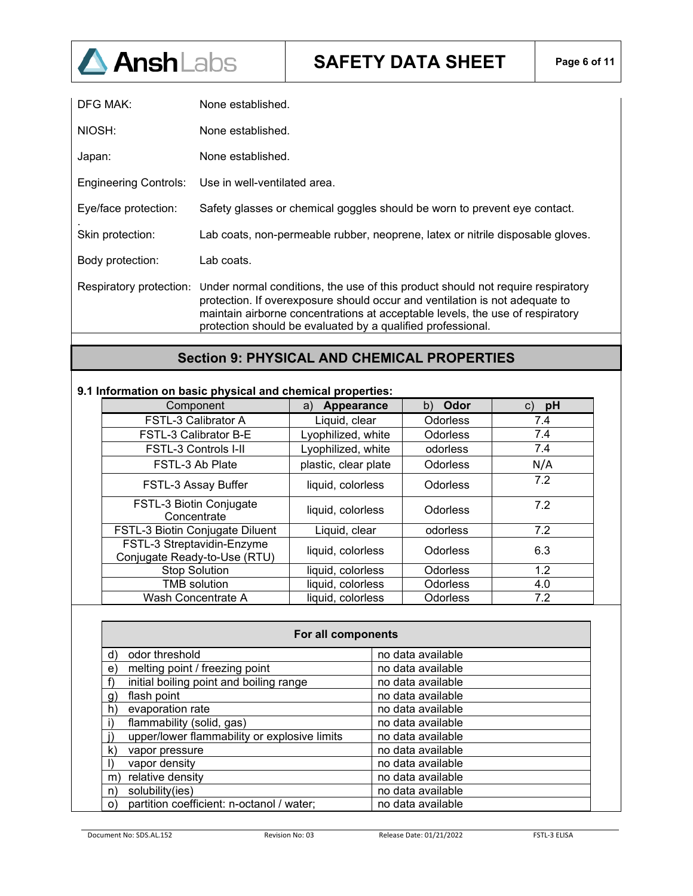

**SAFETY DATA SHEET Page 6 of 11**

| DFG MAK:                     | None established.                                                                                                                                                                                                                                                                                              |
|------------------------------|----------------------------------------------------------------------------------------------------------------------------------------------------------------------------------------------------------------------------------------------------------------------------------------------------------------|
| NIOSH:                       | None established.                                                                                                                                                                                                                                                                                              |
| Japan:                       | None established.                                                                                                                                                                                                                                                                                              |
| <b>Engineering Controls:</b> | Use in well-ventilated area.                                                                                                                                                                                                                                                                                   |
| Eye/face protection:         | Safety glasses or chemical goggles should be worn to prevent eye contact.                                                                                                                                                                                                                                      |
| Skin protection:             | Lab coats, non-permeable rubber, neoprene, latex or nitrile disposable gloves.                                                                                                                                                                                                                                 |
| Body protection:             | Lab coats.                                                                                                                                                                                                                                                                                                     |
| Respiratory protection:      | Under normal conditions, the use of this product should not require respiratory<br>protection. If overexposure should occur and ventilation is not adequate to<br>maintain airborne concentrations at acceptable levels, the use of respiratory<br>protection should be evaluated by a qualified professional. |

### **Section 9: PHYSICAL AND CHEMICAL PROPERTIES**

### **9.1 Information on basic physical and chemical properties:**

| Component                                                  | Appearance<br>a)     | Odor<br>b)      | pH  |
|------------------------------------------------------------|----------------------|-----------------|-----|
| FSTL-3 Calibrator A                                        | Liquid, clear        | <b>Odorless</b> | 7.4 |
| FSTL-3 Calibrator B-E                                      | Lyophilized, white   | <b>Odorless</b> | 7.4 |
| <b>FSTL-3 Controls I-II</b>                                | Lyophilized, white   | odorless        | 7.4 |
| FSTL-3 Ab Plate                                            | plastic, clear plate | <b>Odorless</b> | N/A |
| FSTL-3 Assay Buffer                                        | liquid, colorless    | <b>Odorless</b> | 7.2 |
| FSTL-3 Biotin Conjugate<br>Concentrate                     | liquid, colorless    | <b>Odorless</b> | 7.2 |
| FSTL-3 Biotin Conjugate Diluent                            | Liquid, clear        | odorless        | 7.2 |
| FSTL-3 Streptavidin-Enzyme<br>Conjugate Ready-to-Use (RTU) | liquid, colorless    | <b>Odorless</b> | 6.3 |
| <b>Stop Solution</b>                                       | liquid, colorless    | <b>Odorless</b> | 1.2 |
| <b>TMB</b> solution                                        | liquid, colorless    | <b>Odorless</b> | 4.0 |
| Wash Concentrate A                                         | liquid, colorless    | <b>Odorless</b> | 7.2 |

| For all components                                        |                   |  |
|-----------------------------------------------------------|-------------------|--|
| odor threshold<br>d)                                      | no data available |  |
| melting point / freezing point<br>e                       | no data available |  |
| initial boiling point and boiling range<br>f)             | no data available |  |
| flash point<br>$\mathbf{q}$                               | no data available |  |
| evaporation rate<br>h)                                    | no data available |  |
| flammability (solid, gas)                                 | no data available |  |
| upper/lower flammability or explosive limits              | no data available |  |
| k)<br>vapor pressure                                      | no data available |  |
| vapor density                                             | no data available |  |
| relative density<br>m)                                    | no data available |  |
| solubility(ies)<br>n)                                     | no data available |  |
| partition coefficient: n-octanol / water;<br>$\mathbf{O}$ | no data available |  |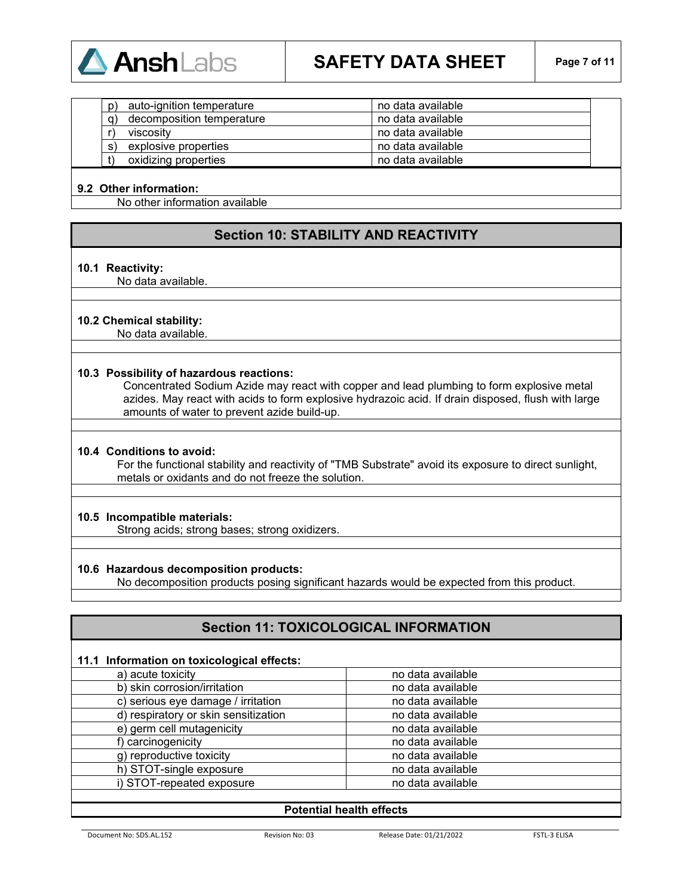

| D) | auto-ignition temperature | no data available |  |
|----|---------------------------|-------------------|--|
| g) | decomposition temperature | no data available |  |
|    | viscosity                 | no data available |  |
| S) | explosive properties      | no data available |  |
|    | oxidizing properties      | no data available |  |

### **9.2 Other information:**

No other information available

### **Section 10: STABILITY AND REACTIVITY**

#### **10.1 Reactivity:**

No data available.

#### **10.2 Chemical stability:**

No data available.

#### **10.3 Possibility of hazardous reactions:**

Concentrated Sodium Azide may react with copper and lead plumbing to form explosive metal azides. May react with acids to form explosive hydrazoic acid. If drain disposed, flush with large amounts of water to prevent azide build-up.

#### **10.4 Conditions to avoid:**

For the functional stability and reactivity of "TMB Substrate" avoid its exposure to direct sunlight, metals or oxidants and do not freeze the solution.

#### **10.5 Incompatible materials:**

Strong acids; strong bases; strong oxidizers.

#### **10.6 Hazardous decomposition products:**

No decomposition products posing significant hazards would be expected from this product.

### **Section 11: TOXICOLOGICAL INFORMATION**

### **11.1 Information on toxicological effects:**

| a) acute toxicity                    | no data available |
|--------------------------------------|-------------------|
| b) skin corrosion/irritation         | no data available |
| c) serious eye damage / irritation   | no data available |
| d) respiratory or skin sensitization | no data available |
| e) germ cell mutagenicity            | no data available |
| f) carcinogenicity                   | no data available |
| g) reproductive toxicity             | no data available |
| h) STOT-single exposure              | no data available |
| i) STOT-repeated exposure            | no data available |
|                                      |                   |

### **Potential health effects**

Document No: SDS.AL.152 Revision No: 03 Release Date: 01/21/2022 FSTL-3 ELISA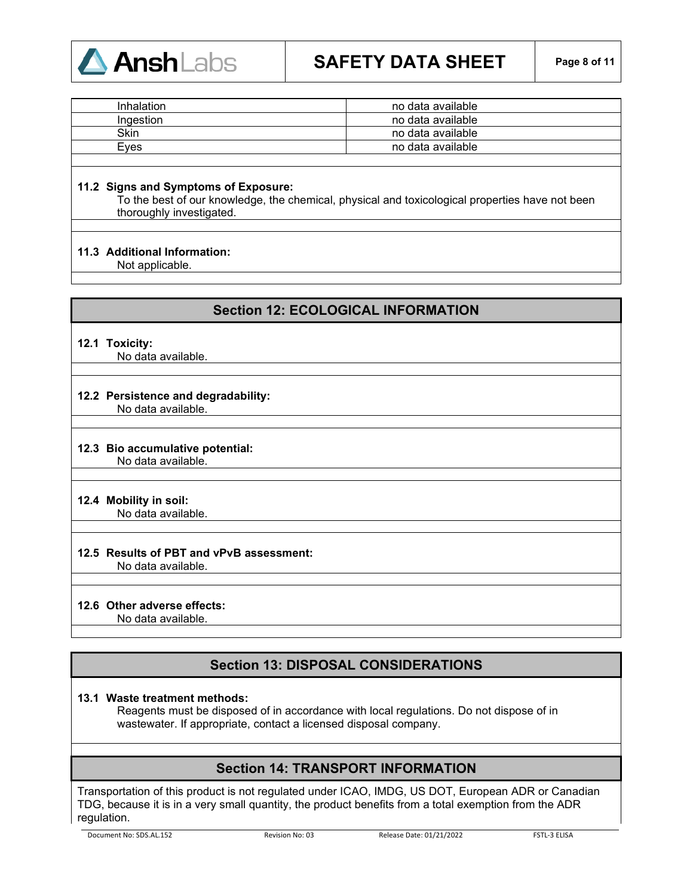

## **SAFETY DATA SHEET Page 8 of 11**

| Inhalation | no data available |
|------------|-------------------|
| Ingestion  | no data available |
| Skin       | no data available |
| Eves       | no data available |
|            |                   |

### **11.2 Signs and Symptoms of Exposure:**

To the best of our knowledge, the chemical, physical and toxicological properties have not been thoroughly investigated.

### **11.3 Additional Information:**

Not applicable.

### **Section 12: ECOLOGICAL INFORMATION**

#### **12.1 Toxicity:**

No data available.

### **12.2 Persistence and degradability:**

No data available.

#### **12.3 Bio accumulative potential:** No data available.

### **12.4 Mobility in soil:**

No data available.

### **12.5 Results of PBT and vPvB assessment:**

No data available.

### **12.6 Other adverse effects:**

No data available.

### **Section 13: DISPOSAL CONSIDERATIONS**

### **13.1 Waste treatment methods:**

Reagents must be disposed of in accordance with local regulations. Do not dispose of in wastewater. If appropriate, contact a licensed disposal company.

### **Section 14: TRANSPORT INFORMATION**

Transportation of this product is not regulated under ICAO, IMDG, US DOT, European ADR or Canadian TDG, because it is in a very small quantity, the product benefits from a total exemption from the ADR regulation.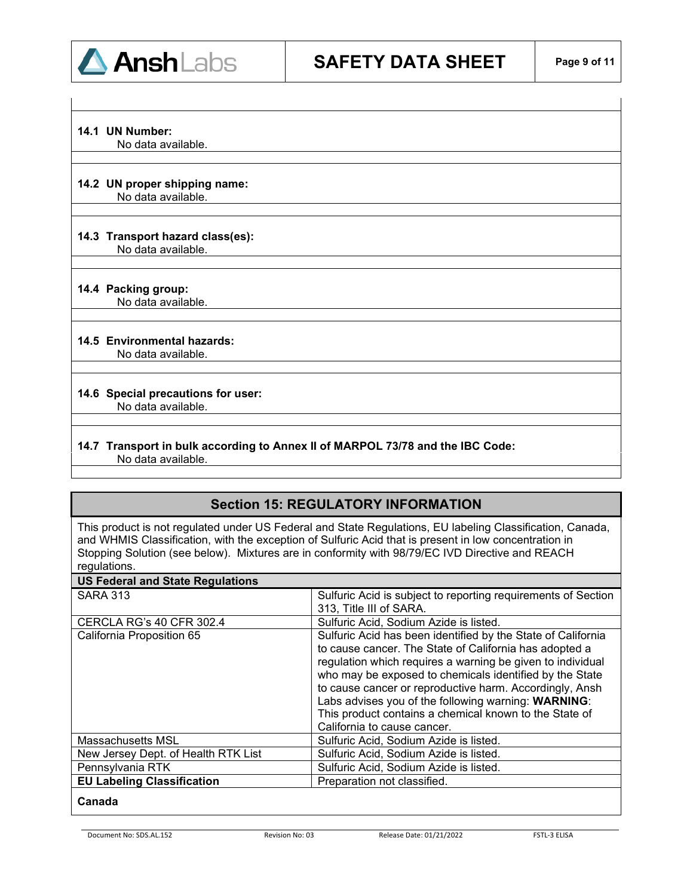

### **14.1 UN Number:**

No data available.

## **14.2 UN proper shipping name:**

No data available.

### **14.3 Transport hazard class(es):**

No data available.

### **14.4 Packing group:**

No data available.

### **14.5 Environmental hazards:**

No data available.

## **14.6 Special precautions for user:**

No data available.

### **14.7 Transport in bulk according to Annex II of MARPOL 73/78 and the IBC Code:** No data available.

### **Section 15: REGULATORY INFORMATION**

This product is not regulated under US Federal and State Regulations, EU labeling Classification, Canada, and WHMIS Classification, with the exception of Sulfuric Acid that is present in low concentration in Stopping Solution (see below). Mixtures are in conformity with 98/79/EC IVD Directive and REACH regulations.

| <b>US Federal and State Regulations</b> |                                                               |
|-----------------------------------------|---------------------------------------------------------------|
| <b>SARA 313</b>                         | Sulfuric Acid is subject to reporting requirements of Section |
|                                         | 313, Title III of SARA.                                       |
| <b>CERCLA RG's 40 CFR 302.4</b>         | Sulfuric Acid, Sodium Azide is listed.                        |
| California Proposition 65               | Sulfuric Acid has been identified by the State of California  |
|                                         | to cause cancer. The State of California has adopted a        |
|                                         | regulation which requires a warning be given to individual    |
|                                         | who may be exposed to chemicals identified by the State       |
|                                         | to cause cancer or reproductive harm. Accordingly, Ansh       |
|                                         | Labs advises you of the following warning: WARNING:           |
|                                         | This product contains a chemical known to the State of        |
|                                         | California to cause cancer.                                   |
| Massachusetts MSL                       | Sulfuric Acid, Sodium Azide is listed.                        |
| New Jersey Dept. of Health RTK List     | Sulfuric Acid, Sodium Azide is listed.                        |
| Pennsylvania RTK                        | Sulfuric Acid, Sodium Azide is listed.                        |
| <b>EU Labeling Classification</b>       | Preparation not classified.                                   |
|                                         |                                                               |

### **Canada**

Document No: SDS.AL.152 Revision No: 03 Release Date: 01/21/2022 FSTL-3 ELISA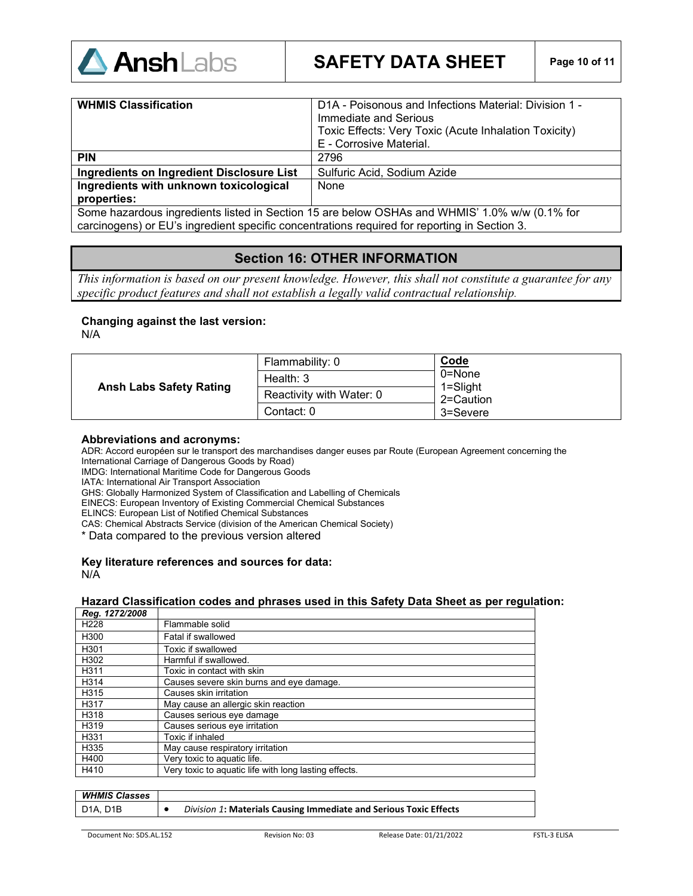

| <b>WHMIS Classification</b>                                                                   | D1A - Poisonous and Infections Material: Division 1 -<br>Immediate and Serious<br>Toxic Effects: Very Toxic (Acute Inhalation Toxicity)<br>E - Corrosive Material. |
|-----------------------------------------------------------------------------------------------|--------------------------------------------------------------------------------------------------------------------------------------------------------------------|
| <b>PIN</b>                                                                                    | 2796                                                                                                                                                               |
| <b>Ingredients on Ingredient Disclosure List</b>                                              | Sulfuric Acid, Sodium Azide                                                                                                                                        |
| Ingredients with unknown toxicological                                                        | None                                                                                                                                                               |
| properties:                                                                                   |                                                                                                                                                                    |
| Some hazardous ingredients listed in Section 15 are below OSHAs and WHMIS' 1.0% w/w (0.1% for |                                                                                                                                                                    |

carcinogens) or EU's ingredient specific concentrations required for reporting in Section 3.

### **Section 16: OTHER INFORMATION**

*This information is based on our present knowledge. However, this shall not constitute a guarantee for any specific product features and shall not establish a legally valid contractual relationship*.

### **Changing against the last version:**

N/A

| <b>Ansh Labs Safety Rating</b> | Flammability: 0          | Code<br>0=None<br>$1 =$ Slight |
|--------------------------------|--------------------------|--------------------------------|
|                                | Health: $3$              |                                |
|                                | Reactivity with Water: 0 | 2=Caution                      |
|                                | Contact: 0               | 3=Severe                       |

#### **Abbreviations and acronyms:**

ADR: Accord européen sur le transport des marchandises danger euses par Route (European Agreement concerning the International Carriage of Dangerous Goods by Road)

IMDG: International Maritime Code for Dangerous Goods

IATA: International Air Transport Association

GHS: Globally Harmonized System of Classification and Labelling of Chemicals

EINECS: European Inventory of Existing Commercial Chemical Substances

ELINCS: European List of Notified Chemical Substances

CAS: Chemical Abstracts Service (division of the American Chemical Society)

\* Data compared to the previous version altered

### **Key literature references and sources for data:**

N/A

### **Hazard Classification codes and phrases used in this Safety Data Sheet as per regulation:**

| Reg. 1272/2008   |                                                       |
|------------------|-------------------------------------------------------|
| H <sub>228</sub> | Flammable solid                                       |
| H300             | Fatal if swallowed                                    |
| H301             | Toxic if swallowed                                    |
| H302             | Harmful if swallowed.                                 |
| H311             | Toxic in contact with skin                            |
| H314             | Causes severe skin burns and eye damage.              |
| H315             | Causes skin irritation                                |
| H317             | May cause an allergic skin reaction                   |
| H318             | Causes serious eye damage                             |
| H319             | Causes serious eye irritation                         |
| H331             | Toxic if inhaled                                      |
| H335             | May cause respiratory irritation                      |
| H400             | Very toxic to aquatic life.                           |
| H410             | Very toxic to aquatic life with long lasting effects. |

| <b>WHMIS Classes</b> |                                                                          |
|----------------------|--------------------------------------------------------------------------|
| D1A, D1B             | <b>Division 1: Materials Causing Immediate and Serious Toxic Effects</b> |